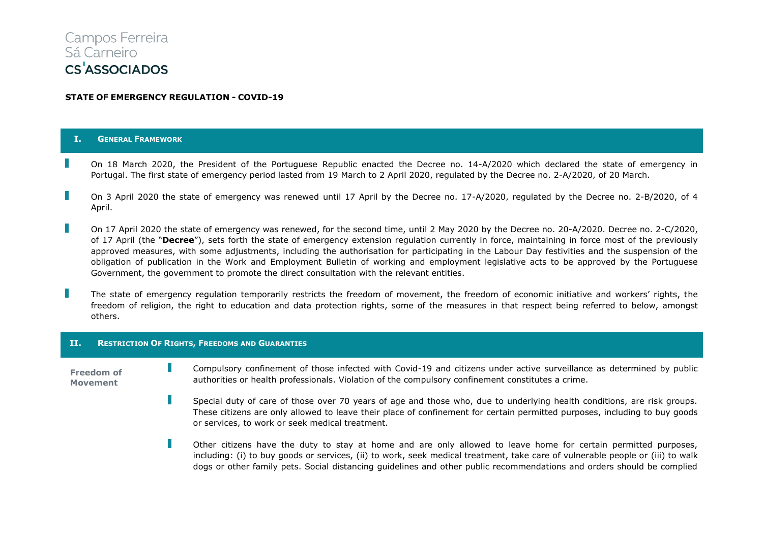# Campos Ferreira Sá Carneiro **CS<sup>'</sup>ASSOCIADOS**

# **STATE OF EMERGENCY REGULATION - COVID-19**

## **I. GENERAL FRAMEWORK**

- On 18 March 2020, the President of the Portuguese Republic enacted the Decree no. 14-A/2020 which declared the state of emergency in Portugal. The first state of emergency period lasted from 19 March to 2 April 2020, regulated by the Decree no. 2-A/2020, of 20 March.
- On 3 April 2020 the state of emergency was renewed until 17 April by the Decree no. 17-A/2020, regulated by the Decree no. 2-B/2020, of 4 April.
- On 17 April 2020 the state of emergency was renewed, for the second time, until 2 May 2020 by the Decree no. 20-A/2020. Decree no. 2-C/2020, of 17 April (the "**Decree**"), sets forth the state of emergency extension regulation currently in force, maintaining in force most of the previously approved measures, with some adjustments, including the authorisation for participating in the Labour Day festivities and the suspension of the obligation of publication in the Work and Employment Bulletin of working and employment legislative acts to be approved by the Portuguese Government, the government to promote the direct consultation with the relevant entities.
- The state of emergency regulation temporarily restricts the freedom of movement, the freedom of economic initiative and workers' rights, the freedom of religion, the right to education and data protection rights, some of the measures in that respect being referred to below, amongst others.

#### **II. RESTRICTION OF RIGHTS, FREEDOMS AND GUARANTIES**

- $\mathbb{R}^2$ Compulsory confinement of those infected with Covid-19 and citizens under active surveillance as determined by public **Freedom of**  authorities or health professionals. Violation of the compulsory confinement constitutes a crime. **Movement**
	- $\mathbb{R}^2$ Special duty of care of those over 70 years of age and those who, due to underlying health conditions, are risk groups. These citizens are only allowed to leave their place of confinement for certain permitted purposes, including to buy goods or services, to work or seek medical treatment.
		- Г Other citizens have the duty to stay at home and are only allowed to leave home for certain permitted purposes, including: (i) to buy goods or services, (ii) to work, seek medical treatment, take care of vulnerable people or (iii) to walk dogs or other family pets. Social distancing guidelines and other public recommendations and orders should be complied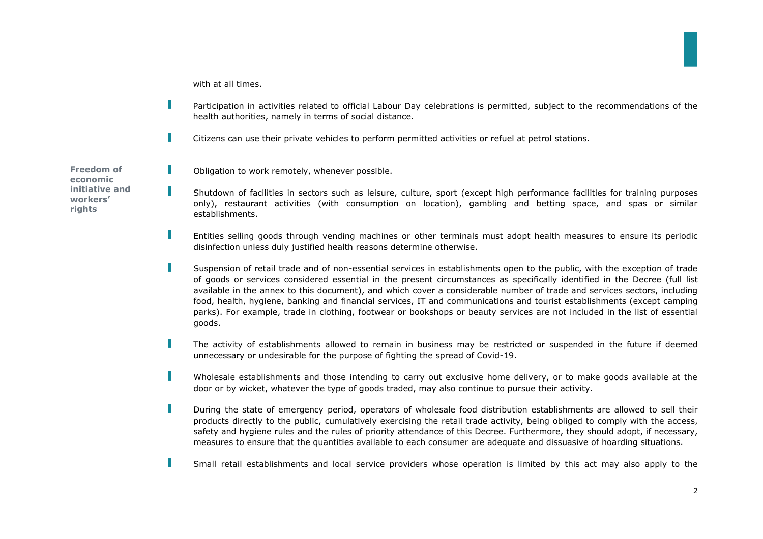with at all times.

П

П

П

П

- Г Participation in activities related to official Labour Day celebrations is permitted, subject to the recommendations of the health authorities, namely in terms of social distance.
	- Citizens can use their private vehicles to perform permitted activities or refuel at petrol stations.

**Freedom of economic initiative and workers' rights**

- Obligation to work remotely, whenever possible.
- Shutdown of facilities in sectors such as leisure, culture, sport (except high performance facilities for training purposes only), restaurant activities (with consumption on location), gambling and betting space, and spas or similar establishments.
- Entities selling goods through vending machines or other terminals must adopt health measures to ensure its periodic disinfection unless duly justified health reasons determine otherwise.
- П Suspension of retail trade and of non-essential services in establishments open to the public, with the exception of trade of goods or services considered essential in the present circumstances as specifically identified in the Decree (full list available in the annex to this document), and which cover a considerable number of trade and services sectors, including food, health, hygiene, banking and financial services, IT and communications and tourist establishments (except camping parks). For example, trade in clothing, footwear or bookshops or beauty services are not included in the list of essential goods.
- П The activity of establishments allowed to remain in business may be restricted or suspended in the future if deemed unnecessary or undesirable for the purpose of fighting the spread of Covid-19.
- П Wholesale establishments and those intending to carry out exclusive home delivery, or to make goods available at the door or by wicket, whatever the type of goods traded, may also continue to pursue their activity.
- П During the state of emergency period, operators of wholesale food distribution establishments are allowed to sell their products directly to the public, cumulatively exercising the retail trade activity, being obliged to comply with the access, safety and hygiene rules and the rules of priority attendance of this Decree. Furthermore, they should adopt, if necessary, measures to ensure that the quantities available to each consumer are adequate and dissuasive of hoarding situations.
- П Small retail establishments and local service providers whose operation is limited by this act may also apply to the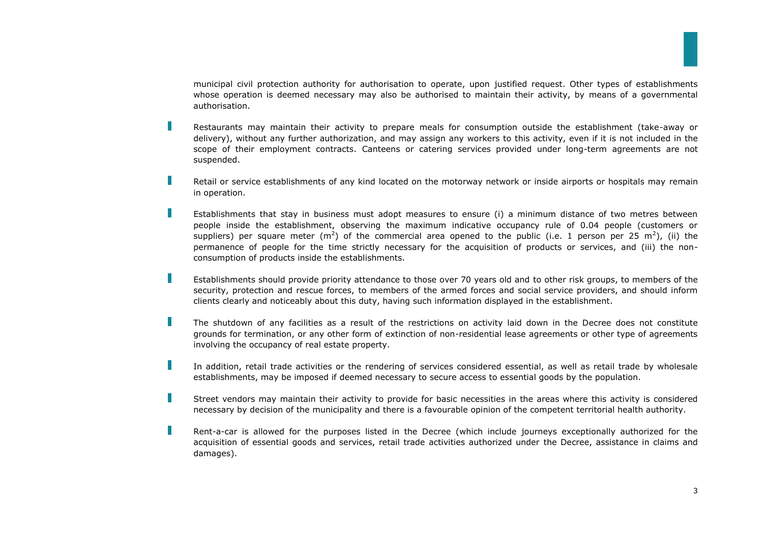municipal civil protection authority for authorisation to operate, upon justified request. Other types of establishments whose operation is deemed necessary may also be authorised to maintain their activity, by means of a governmental authorisation.

Restaurants may maintain their activity to prepare meals for consumption outside the establishment (take-away or delivery), without any further authorization, and may assign any workers to this activity, even if it is not included in the scope of their employment contracts. Canteens or catering services provided under long-term agreements are not suspended.

П

П

- П Retail or service establishments of any kind located on the motorway network or inside airports or hospitals may remain in operation.
	- Establishments that stay in business must adopt measures to ensure (i) a minimum distance of two metres between people inside the establishment, observing the maximum indicative occupancy rule of 0.04 people (customers or suppliers) per square meter (m<sup>2</sup>) of the commercial area opened to the public (i.e. 1 person per 25 m<sup>2</sup>), (ii) the permanence of people for the time strictly necessary for the acquisition of products or services, and (iii) the nonconsumption of products inside the establishments.
- П Establishments should provide priority attendance to those over 70 years old and to other risk groups, to members of the security, protection and rescue forces, to members of the armed forces and social service providers, and should inform clients clearly and noticeably about this duty, having such information displayed in the establishment.
- П The shutdown of any facilities as a result of the restrictions on activity laid down in the Decree does not constitute grounds for termination, or any other form of extinction of non-residential lease agreements or other type of agreements involving the occupancy of real estate property.
- П In addition, retail trade activities or the rendering of services considered essential, as well as retail trade by wholesale establishments, may be imposed if deemed necessary to secure access to essential goods by the population.
- T Street vendors may maintain their activity to provide for basic necessities in the areas where this activity is considered necessary by decision of the municipality and there is a favourable opinion of the competent territorial health authority.
- П Rent-a-car is allowed for the purposes listed in the Decree (which include journeys exceptionally authorized for the acquisition of essential goods and services, retail trade activities authorized under the Decree, assistance in claims and damages).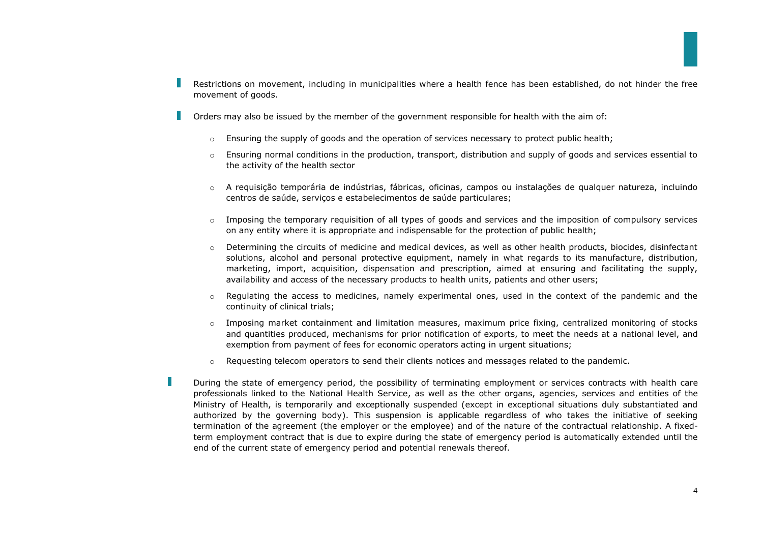- Restrictions on movement, including in municipalities where a health fence has been established, do not hinder the free movement of goods.
- Orders may also be issued by the member of the government responsible for health with the aim of:
	- $\circ$  Ensuring the supply of goods and the operation of services necessary to protect public health:
	- $\circ$  Ensuring normal conditions in the production, transport, distribution and supply of goods and services essential to the activity of the health sector
	- o A requisição temporária de indústrias, fábricas, oficinas, campos ou instalações de qualquer natureza, incluindo centros de saúde, serviços e estabelecimentos de saúde particulares;
	- $\circ$  Imposing the temporary requisition of all types of goods and services and the imposition of compulsory services on any entity where it is appropriate and indispensable for the protection of public health;
	- $\circ$  Determining the circuits of medicine and medical devices, as well as other health products, biocides, disinfectant solutions, alcohol and personal protective equipment, namely in what regards to its manufacture, distribution, marketing, import, acquisition, dispensation and prescription, aimed at ensuring and facilitating the supply, availability and access of the necessary products to health units, patients and other users;
	- $\circ$  Regulating the access to medicines, namely experimental ones, used in the context of the pandemic and the continuity of clinical trials;
	- o Imposing market containment and limitation measures, maximum price fixing, centralized monitoring of stocks and quantities produced, mechanisms for prior notification of exports, to meet the needs at a national level, and exemption from payment of fees for economic operators acting in urgent situations;
	- $\circ$  Requesting telecom operators to send their clients notices and messages related to the pandemic.

Г

During the state of emergency period, the possibility of terminating employment or services contracts with health care professionals linked to the National Health Service, as well as the other organs, agencies, services and entities of the Ministry of Health, is temporarily and exceptionally suspended (except in exceptional situations duly substantiated and authorized by the governing body). This suspension is applicable regardless of who takes the initiative of seeking termination of the agreement (the employer or the employee) and of the nature of the contractual relationship. A fixedterm employment contract that is due to expire during the state of emergency period is automatically extended until the end of the current state of emergency period and potential renewals thereof.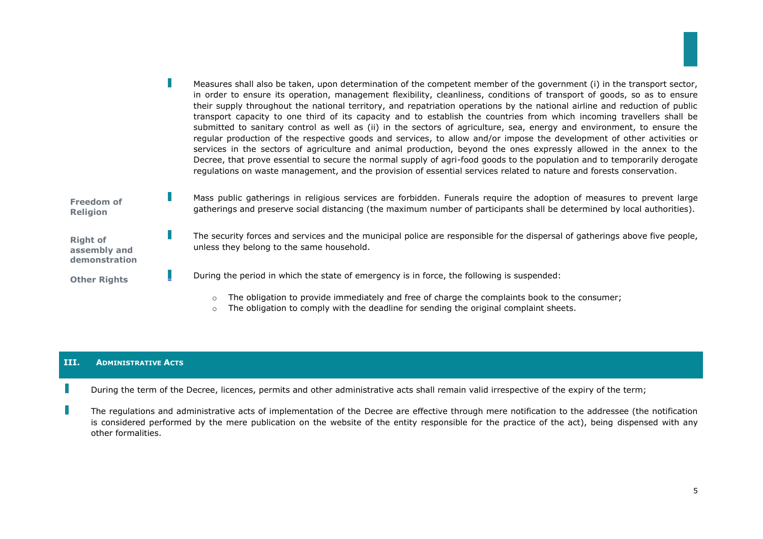|                                                  | Measures shall also be taken, upon determination of the competent member of the government (i) in the transport sector,<br>in order to ensure its operation, management flexibility, cleanliness, conditions of transport of goods, so as to ensure<br>their supply throughout the national territory, and repatriation operations by the national airline and reduction of public<br>transport capacity to one third of its capacity and to establish the countries from which incoming travellers shall be<br>submitted to sanitary control as well as (ii) in the sectors of agriculture, sea, energy and environment, to ensure the<br>regular production of the respective goods and services, to allow and/or impose the development of other activities or<br>services in the sectors of agriculture and animal production, beyond the ones expressly allowed in the annex to the<br>Decree, that prove essential to secure the normal supply of agri-food goods to the population and to temporarily derogate<br>regulations on waste management, and the provision of essential services related to nature and forests conservation. |
|--------------------------------------------------|-----------------------------------------------------------------------------------------------------------------------------------------------------------------------------------------------------------------------------------------------------------------------------------------------------------------------------------------------------------------------------------------------------------------------------------------------------------------------------------------------------------------------------------------------------------------------------------------------------------------------------------------------------------------------------------------------------------------------------------------------------------------------------------------------------------------------------------------------------------------------------------------------------------------------------------------------------------------------------------------------------------------------------------------------------------------------------------------------------------------------------------------------|
| <b>Freedom of</b><br><b>Religion</b>             | Mass public gatherings in religious services are forbidden. Funerals require the adoption of measures to prevent large<br>gatherings and preserve social distancing (the maximum number of participants shall be determined by local authorities).                                                                                                                                                                                                                                                                                                                                                                                                                                                                                                                                                                                                                                                                                                                                                                                                                                                                                            |
| <b>Right of</b><br>assembly and<br>demonstration | The security forces and services and the municipal police are responsible for the dispersal of gatherings above five people,<br>unless they belong to the same household.                                                                                                                                                                                                                                                                                                                                                                                                                                                                                                                                                                                                                                                                                                                                                                                                                                                                                                                                                                     |
| <b>Other Rights</b>                              | During the period in which the state of emergency is in force, the following is suspended:                                                                                                                                                                                                                                                                                                                                                                                                                                                                                                                                                                                                                                                                                                                                                                                                                                                                                                                                                                                                                                                    |
|                                                  | The obligation to provide immediately and free of charge the complaints book to the consumer;<br>$\circ$<br>The obligation to comply with the deadline for sending the original complaint sheets.                                                                                                                                                                                                                                                                                                                                                                                                                                                                                                                                                                                                                                                                                                                                                                                                                                                                                                                                             |

# **III. ADMINISTRATIVE ACTS**

During the term of the Decree, licences, permits and other administrative acts shall remain valid irrespective of the expiry of the term;

The regulations and administrative acts of implementation of the Decree are effective through mere notification to the addressee (the notification is considered performed by the mere publication on the website of the entity responsible for the practice of the act), being dispensed with any other formalities.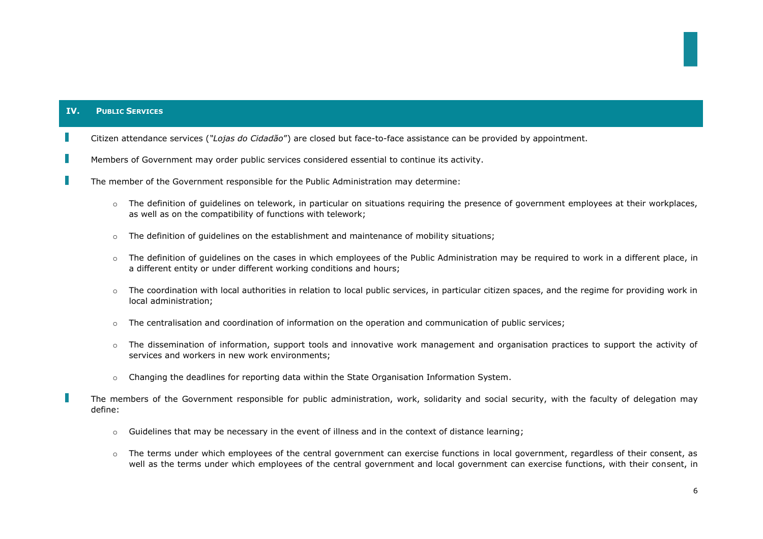# **IV. PUBLIC SERVICES**

- Citizen attendance services (*"Lojas do Cidadão*") are closed but face-to-face assistance can be provided by appointment.
- Members of Government may order public services considered essential to continue its activity.
- The member of the Government responsible for the Public Administration may determine:
	- $\circ$  The definition of quidelines on telework, in particular on situations requiring the presence of government employees at their workplaces, as well as on the compatibility of functions with telework;
	- $\circ$  The definition of quidelines on the establishment and maintenance of mobility situations;
	- $\circ$  The definition of quidelines on the cases in which employees of the Public Administration may be required to work in a different place, in a different entity or under different working conditions and hours;
	- The coordination with local authorities in relation to local public services, in particular citizen spaces, and the regime for providing work in local administration;
	- $\circ$  The centralisation and coordination of information on the operation and communication of public services;
	- $\circ$  The dissemination of information, support tools and innovative work management and organisation practices to support the activity of services and workers in new work environments;
	- $\circ$  Changing the deadlines for reporting data within the State Organisation Information System.

The members of the Government responsible for public administration, work, solidarity and social security, with the faculty of delegation may define:

- $\circ$  Guidelines that may be necessary in the event of illness and in the context of distance learning;
- $\circ$  The terms under which employees of the central government can exercise functions in local government, regardless of their consent, as well as the terms under which employees of the central government and local government can exercise functions, with their consent, in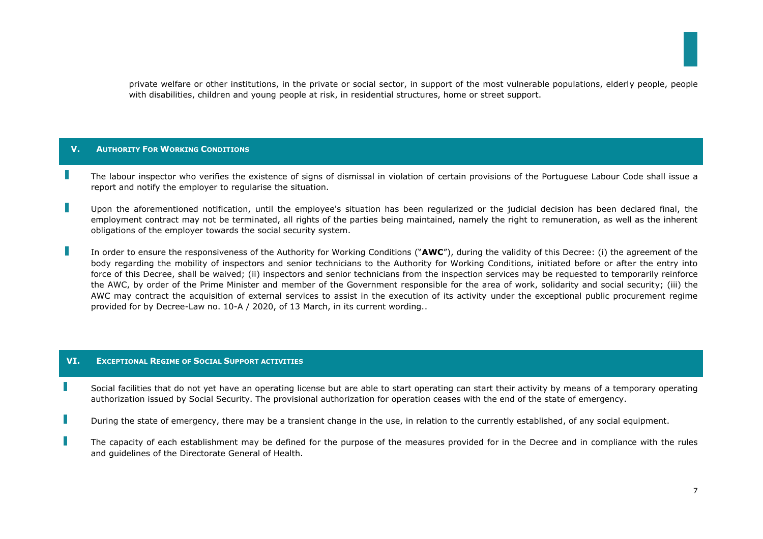private welfare or other institutions, in the private or social sector, in support of the most vulnerable populations, elderly people, people with disabilities, children and young people at risk, in residential structures, home or street support.

# **V. AUTHORITY FOR WORKING CONDITIONS**

- The labour inspector who verifies the existence of signs of dismissal in violation of certain provisions of the Portuguese Labour Code shall issue a report and notify the employer to regularise the situation.
- Upon the aforementioned notification, until the employee's situation has been regularized or the judicial decision has been declared final, the employment contract may not be terminated, all rights of the parties being maintained, namely the right to remuneration, as well as the inherent obligations of the employer towards the social security system.
- In order to ensure the responsiveness of the Authority for Working Conditions ("**AWC**"), during the validity of this Decree: (i) the agreement of the body regarding the mobility of inspectors and senior technicians to the Authority for Working Conditions, initiated before or after the entry into force of this Decree, shall be waived; (ii) inspectors and senior technicians from the inspection services may be requested to temporarily reinforce the AWC, by order of the Prime Minister and member of the Government responsible for the area of work, solidarity and social security; (iii) the AWC may contract the acquisition of external services to assist in the execution of its activity under the exceptional public procurement regime provided for by Decree-Law no. 10-A / 2020, of 13 March, in its current wording..

#### **VI. EXCEPTIONAL REGIME OF SOCIAL SUPPORT ACTIVITIES**

I.

- Social facilities that do not yet have an operating license but are able to start operating can start their activity by means of a temporary operating authorization issued by Social Security. The provisional authorization for operation ceases with the end of the state of emergency.
- H During the state of emergency, there may be a transient change in the use, in relation to the currently established, of any social equipment.
- $\mathbb{R}^n$ The capacity of each establishment may be defined for the purpose of the measures provided for in the Decree and in compliance with the rules and guidelines of the Directorate General of Health.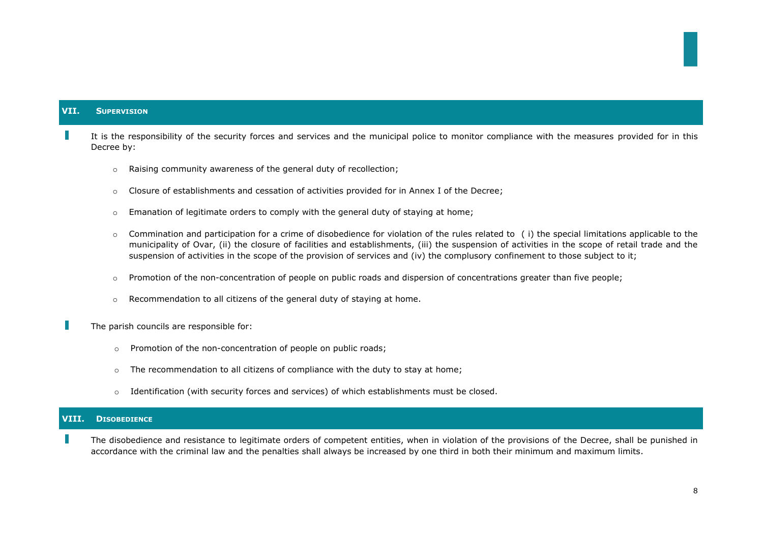# **VII. SUPERVISION**

It is the responsibility of the security forces and services and the municipal police to monitor compliance with the measures provided for in this Decree by:

- o Raising community awareness of the general duty of recollection;
- o Closure of establishments and cessation of activities provided for in Annex I of the Decree;
- $\circ$  Emanation of legitimate orders to comply with the general duty of staying at home:
- $\circ$  Commination and participation for a crime of disobedience for violation of the rules related to (i) the special limitations applicable to the municipality of Ovar, (ii) the closure of facilities and establishments, (iii) the suspension of activities in the scope of retail trade and the suspension of activities in the scope of the provision of services and (iv) the complusory confinement to those subject to it;
- $\circ$  Promotion of the non-concentration of people on public roads and dispersion of concentrations greater than five people;
- $\circ$  Recommendation to all citizens of the general duty of staying at home.

The parish councils are responsible for:

- o Promotion of the non-concentration of people on public roads;
- $\circ$  The recommendation to all citizens of compliance with the duty to stay at home:
- $\circ$  Identification (with security forces and services) of which establishments must be closed.

# **VIII. DISOBEDIENCE**

The disobedience and resistance to legitimate orders of competent entities, when in violation of the provisions of the Decree, shall be punished in accordance with the criminal law and the penalties shall always be increased by one third in both their minimum and maximum limits.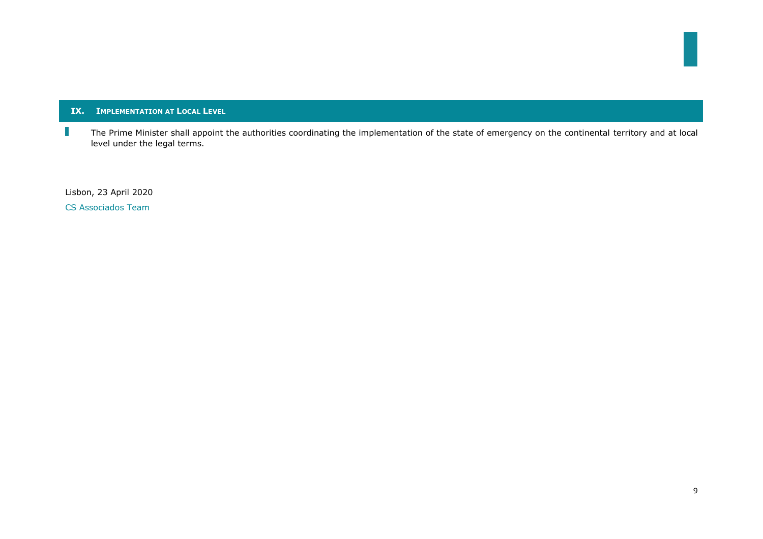# **IX. IMPLEMENTATION AT LOCAL LEVEL**

 $\mathbb{R}^2$ The Prime Minister shall appoint the authorities coordinating the implementation of the state of emergency on the continental territory and at local level under the legal terms.

Lisbon, 23 April 2020

CS Associados Team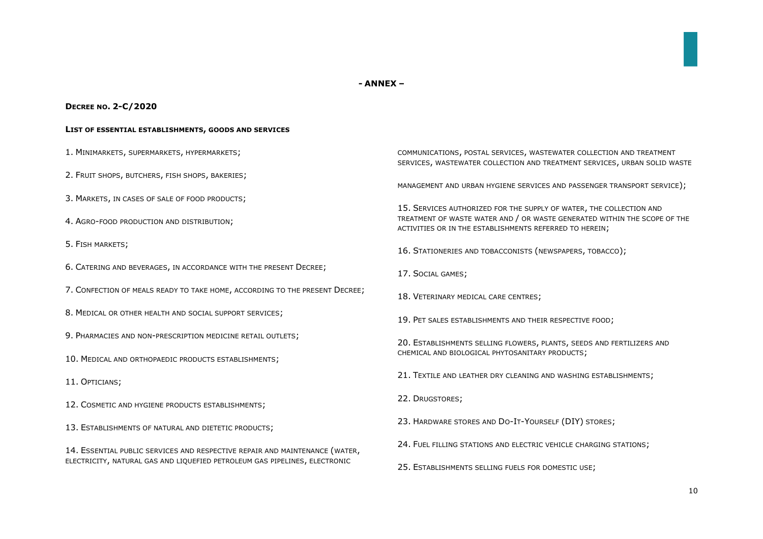#### **- ANNEX –**

#### **DECREE NO. 2-C/2020**

#### **LIST OF ESSENTIAL ESTABLISHMENTS, GOODS AND SERVICES**

- 1. MINIMARKETS, SUPERMARKETS, HYPERMARKETS;
- 2. FRUIT SHOPS, BUTCHERS, FISH SHOPS, BAKERIES;
- 3. MARKETS, IN CASES OF SALE OF FOOD PRODUCTS;
- 4. AGRO-FOOD PRODUCTION AND DISTRIBUTION;
- 5. FISH MARKETS;
- 6. CATERING AND BEVERAGES, IN ACCORDANCE WITH THE PRESENT DECREE;
- 7. CONFECTION OF MEALS READY TO TAKE HOME, ACCORDING TO THE PRESENT DECREE;
- 8. MEDICAL OR OTHER HEALTH AND SOCIAL SUPPORT SERVICES;
- 9. PHARMACIES AND NON-PRESCRIPTION MEDICINE RETAIL OUTLETS;
- 10. MEDICAL AND ORTHOPAEDIC PRODUCTS ESTABLISHMENTS;
- 11. OPTICIANS;
- 12. COSMETIC AND HYGIENE PRODUCTS ESTABLISHMENTS;
- 13. ESTABLISHMENTS OF NATURAL AND DIETETIC PRODUCTS;
- 14. ESSENTIAL PUBLIC SERVICES AND RESPECTIVE REPAIR AND MAINTENANCE (WATER, ELECTRICITY, NATURAL GAS AND LIQUEFIED PETROLEUM GAS PIPELINES, ELECTRONIC

COMMUNICATIONS, POSTAL SERVICES, WASTEWATER COLLECTION AND TREATMENT SERVICES, WASTEWATER COLLECTION AND TREATMENT SERVICES, URBAN SOLID WASTE

MANAGEMENT AND URBAN HYGIENE SERVICES AND PASSENGER TRANSPORT SERVICE);

15. SERVICES AUTHORIZED FOR THE SUPPLY OF WATER, THE COLLECTION AND TREATMENT OF WASTE WATER AND / OR WASTE GENERATED WITHIN THE SCOPE OF THE ACTIVITIES OR IN THE ESTABLISHMENTS REFERRED TO HEREIN;

- 16. STATIONERIES AND TOBACCONISTS (NEWSPAPERS, TOBACCO);
- 17. SOCIAL GAMES;
- 18. VETERINARY MEDICAL CARE CENTRES;
- 19. PET SALES ESTABLISHMENTS AND THEIR RESPECTIVE FOOD;
- 20. ESTABLISHMENTS SELLING FLOWERS, PLANTS, SEEDS AND FERTILIZERS AND CHEMICAL AND BIOLOGICAL PHYTOSANITARY PRODUCTS;
- 21. TEXTILE AND LEATHER DRY CLEANING AND WASHING ESTABLISHMENTS;
- 22. DRUGSTORES;
- 23. HARDWARE STORES AND DO-IT-YOURSELF (DIY) STORES;
- 24. FUEL FILLING STATIONS AND ELECTRIC VEHICLE CHARGING STATIONS;
- 25. ESTABLISHMENTS SELLING FUELS FOR DOMESTIC USE;